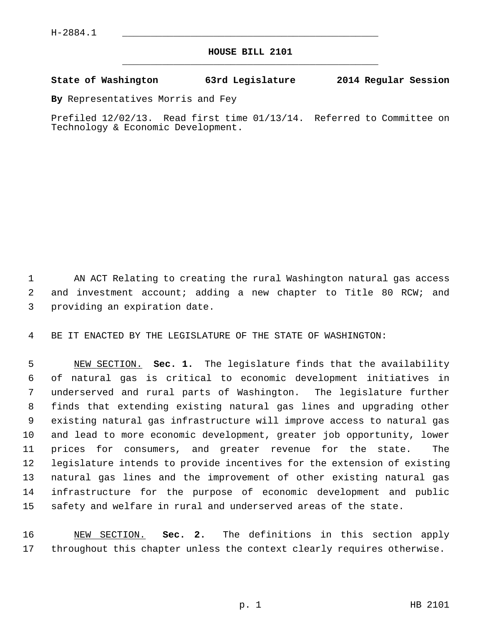## **HOUSE BILL 2101** \_\_\_\_\_\_\_\_\_\_\_\_\_\_\_\_\_\_\_\_\_\_\_\_\_\_\_\_\_\_\_\_\_\_\_\_\_\_\_\_\_\_\_\_\_

## **State of Washington 63rd Legislature 2014 Regular Session**

**By** Representatives Morris and Fey

Prefiled 12/02/13. Read first time 01/13/14. Referred to Committee on Technology & Economic Development.

 1 AN ACT Relating to creating the rural Washington natural gas access 2 and investment account; adding a new chapter to Title 80 RCW; and 3 providing an expiration date.

4 BE IT ENACTED BY THE LEGISLATURE OF THE STATE OF WASHINGTON:

 5 NEW SECTION. **Sec. 1.** The legislature finds that the availability 6 of natural gas is critical to economic development initiatives in 7 underserved and rural parts of Washington. The legislature further 8 finds that extending existing natural gas lines and upgrading other 9 existing natural gas infrastructure will improve access to natural gas 10 and lead to more economic development, greater job opportunity, lower 11 prices for consumers, and greater revenue for the state. The 12 legislature intends to provide incentives for the extension of existing 13 natural gas lines and the improvement of other existing natural gas 14 infrastructure for the purpose of economic development and public 15 safety and welfare in rural and underserved areas of the state.

16 NEW SECTION. **Sec. 2.** The definitions in this section apply 17 throughout this chapter unless the context clearly requires otherwise.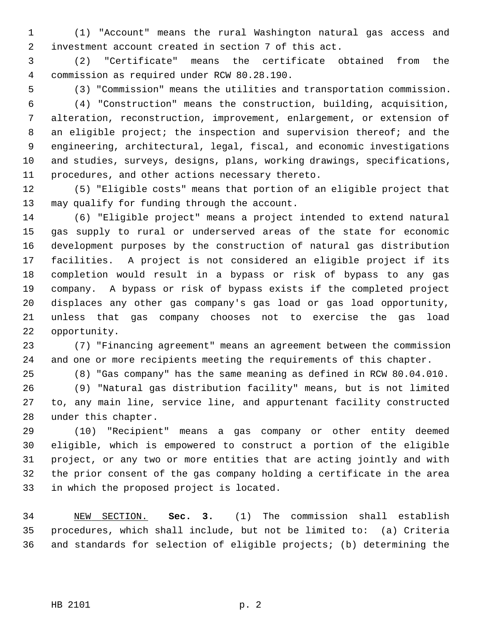1 (1) "Account" means the rural Washington natural gas access and 2 investment account created in section 7 of this act.

 3 (2) "Certificate" means the certificate obtained from the 4 commission as required under RCW 80.28.190.

5 (3) "Commission" means the utilities and transportation commission.

 6 (4) "Construction" means the construction, building, acquisition, 7 alteration, reconstruction, improvement, enlargement, or extension of 8 an eligible project; the inspection and supervision thereof; and the 9 engineering, architectural, legal, fiscal, and economic investigations 10 and studies, surveys, designs, plans, working drawings, specifications, 11 procedures, and other actions necessary thereto.

12 (5) "Eligible costs" means that portion of an eligible project that 13 may qualify for funding through the account.

14 (6) "Eligible project" means a project intended to extend natural 15 gas supply to rural or underserved areas of the state for economic 16 development purposes by the construction of natural gas distribution 17 facilities. A project is not considered an eligible project if its 18 completion would result in a bypass or risk of bypass to any gas 19 company. A bypass or risk of bypass exists if the completed project 20 displaces any other gas company's gas load or gas load opportunity, 21 unless that gas company chooses not to exercise the gas load 22 opportunity.

23 (7) "Financing agreement" means an agreement between the commission 24 and one or more recipients meeting the requirements of this chapter.

25 (8) "Gas company" has the same meaning as defined in RCW 80.04.010. 26 (9) "Natural gas distribution facility" means, but is not limited 27 to, any main line, service line, and appurtenant facility constructed 28 under this chapter.

29 (10) "Recipient" means a gas company or other entity deemed 30 eligible, which is empowered to construct a portion of the eligible 31 project, or any two or more entities that are acting jointly and with 32 the prior consent of the gas company holding a certificate in the area 33 in which the proposed project is located.

34 NEW SECTION. **Sec. 3.** (1) The commission shall establish 35 procedures, which shall include, but not be limited to: (a) Criteria 36 and standards for selection of eligible projects; (b) determining the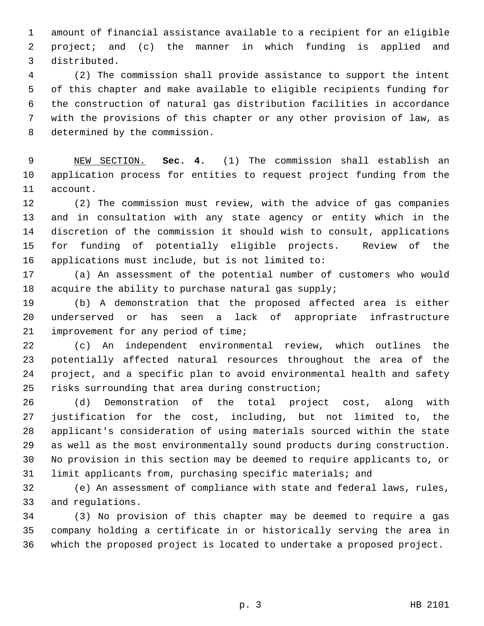1 amount of financial assistance available to a recipient for an eligible 2 project; and (c) the manner in which funding is applied and 3 distributed.

 4 (2) The commission shall provide assistance to support the intent 5 of this chapter and make available to eligible recipients funding for 6 the construction of natural gas distribution facilities in accordance 7 with the provisions of this chapter or any other provision of law, as 8 determined by the commission.

 9 NEW SECTION. **Sec. 4.** (1) The commission shall establish an 10 application process for entities to request project funding from the 11 account.

12 (2) The commission must review, with the advice of gas companies 13 and in consultation with any state agency or entity which in the 14 discretion of the commission it should wish to consult, applications 15 for funding of potentially eligible projects. Review of the 16 applications must include, but is not limited to:

17 (a) An assessment of the potential number of customers who would 18 acquire the ability to purchase natural gas supply;

19 (b) A demonstration that the proposed affected area is either 20 underserved or has seen a lack of appropriate infrastructure 21 improvement for any period of time;

22 (c) An independent environmental review, which outlines the 23 potentially affected natural resources throughout the area of the 24 project, and a specific plan to avoid environmental health and safety 25 risks surrounding that area during construction;

26 (d) Demonstration of the total project cost, along with 27 justification for the cost, including, but not limited to, the 28 applicant's consideration of using materials sourced within the state 29 as well as the most environmentally sound products during construction. 30 No provision in this section may be deemed to require applicants to, or 31 limit applicants from, purchasing specific materials; and

32 (e) An assessment of compliance with state and federal laws, rules, 33 and regulations.

34 (3) No provision of this chapter may be deemed to require a gas 35 company holding a certificate in or historically serving the area in 36 which the proposed project is located to undertake a proposed project.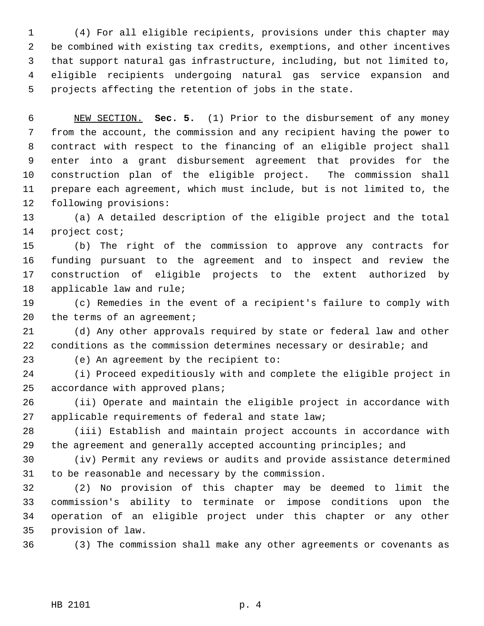1 (4) For all eligible recipients, provisions under this chapter may 2 be combined with existing tax credits, exemptions, and other incentives 3 that support natural gas infrastructure, including, but not limited to, 4 eligible recipients undergoing natural gas service expansion and 5 projects affecting the retention of jobs in the state.

 6 NEW SECTION. **Sec. 5.** (1) Prior to the disbursement of any money 7 from the account, the commission and any recipient having the power to 8 contract with respect to the financing of an eligible project shall 9 enter into a grant disbursement agreement that provides for the 10 construction plan of the eligible project. The commission shall 11 prepare each agreement, which must include, but is not limited to, the 12 following provisions:

13 (a) A detailed description of the eligible project and the total 14 project cost;

15 (b) The right of the commission to approve any contracts for 16 funding pursuant to the agreement and to inspect and review the 17 construction of eligible projects to the extent authorized by 18 applicable law and rule;

19 (c) Remedies in the event of a recipient's failure to comply with 20 the terms of an agreement;

21 (d) Any other approvals required by state or federal law and other 22 conditions as the commission determines necessary or desirable; and

23 (e) An agreement by the recipient to:

24 (i) Proceed expeditiously with and complete the eligible project in 25 accordance with approved plans;

26 (ii) Operate and maintain the eligible project in accordance with 27 applicable requirements of federal and state law;

28 (iii) Establish and maintain project accounts in accordance with 29 the agreement and generally accepted accounting principles; and

30 (iv) Permit any reviews or audits and provide assistance determined 31 to be reasonable and necessary by the commission.

32 (2) No provision of this chapter may be deemed to limit the 33 commission's ability to terminate or impose conditions upon the 34 operation of an eligible project under this chapter or any other 35 provision of law.

36 (3) The commission shall make any other agreements or covenants as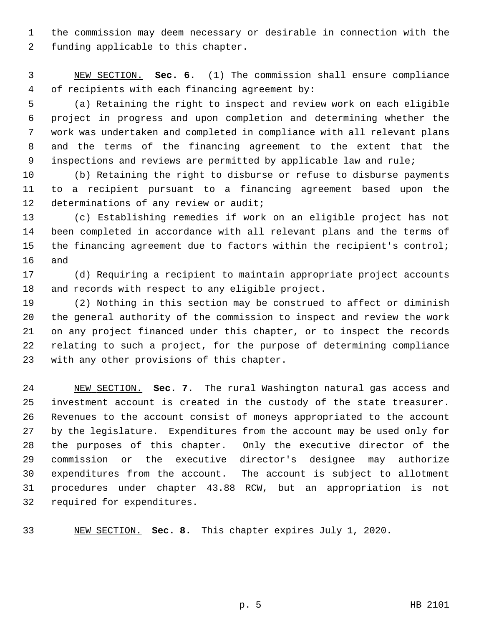1 the commission may deem necessary or desirable in connection with the 2 funding applicable to this chapter.

 3 NEW SECTION. **Sec. 6.** (1) The commission shall ensure compliance 4 of recipients with each financing agreement by:

 5 (a) Retaining the right to inspect and review work on each eligible 6 project in progress and upon completion and determining whether the 7 work was undertaken and completed in compliance with all relevant plans 8 and the terms of the financing agreement to the extent that the 9 inspections and reviews are permitted by applicable law and rule;

10 (b) Retaining the right to disburse or refuse to disburse payments 11 to a recipient pursuant to a financing agreement based upon the 12 determinations of any review or audit;

13 (c) Establishing remedies if work on an eligible project has not 14 been completed in accordance with all relevant plans and the terms of 15 the financing agreement due to factors within the recipient's control; 16 and

17 (d) Requiring a recipient to maintain appropriate project accounts 18 and records with respect to any eligible project.

19 (2) Nothing in this section may be construed to affect or diminish 20 the general authority of the commission to inspect and review the work 21 on any project financed under this chapter, or to inspect the records 22 relating to such a project, for the purpose of determining compliance 23 with any other provisions of this chapter.

24 NEW SECTION. **Sec. 7.** The rural Washington natural gas access and 25 investment account is created in the custody of the state treasurer. 26 Revenues to the account consist of moneys appropriated to the account 27 by the legislature. Expenditures from the account may be used only for 28 the purposes of this chapter. Only the executive director of the 29 commission or the executive director's designee may authorize 30 expenditures from the account. The account is subject to allotment 31 procedures under chapter 43.88 RCW, but an appropriation is not 32 required for expenditures.

33 NEW SECTION. **Sec. 8.** This chapter expires July 1, 2020.